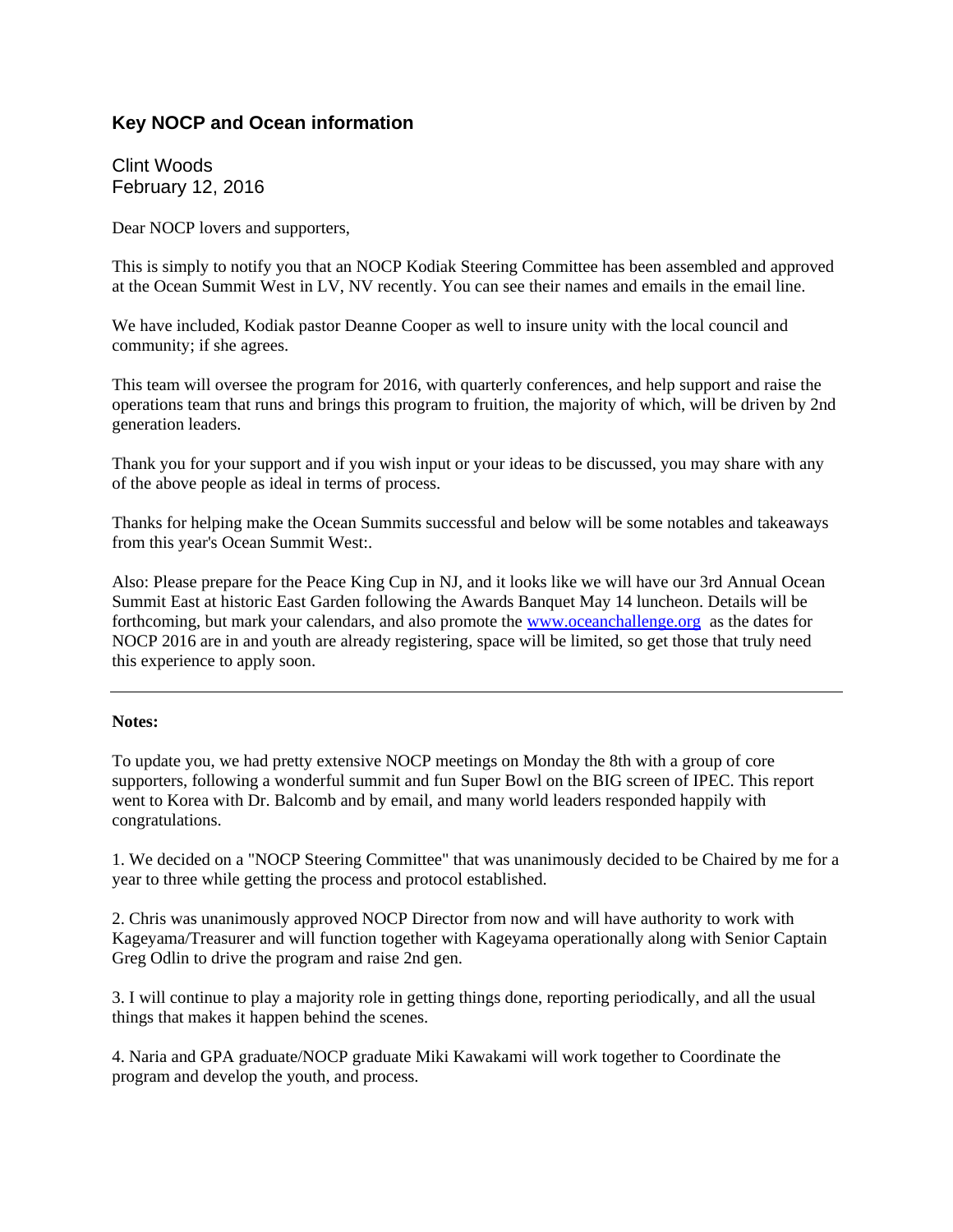## **Key NOCP and Ocean information**

Clint Woods February 12, 2016

Dear NOCP lovers and supporters,

This is simply to notify you that an NOCP Kodiak Steering Committee has been assembled and approved at the Ocean Summit West in LV, NV recently. You can see their names and emails in the email line.

We have included, Kodiak pastor Deanne Cooper as well to insure unity with the local council and community; if she agrees.

This team will oversee the program for 2016, with quarterly conferences, and help support and raise the operations team that runs and brings this program to fruition, the majority of which, will be driven by 2nd generation leaders.

Thank you for your support and if you wish input or your ideas to be discussed, you may share with any of the above people as ideal in terms of process.

Thanks for helping make the Ocean Summits successful and below will be some notables and takeaways from this year's Ocean Summit West:.

Also: Please prepare for the Peace King Cup in NJ, and it looks like we will have our 3rd Annual Ocean Summit East at historic East Garden following the Awards Banquet May 14 luncheon. Details will be forthcoming, but mark your calendars, and also promote the www.oceanchallenge.org as the dates for NOCP 2016 are in and youth are already registering, space will be limited, so get those that truly need this experience to apply soon.

## **Notes:**

To update you, we had pretty extensive NOCP meetings on Monday the 8th with a group of core supporters, following a wonderful summit and fun Super Bowl on the BIG screen of IPEC. This report went to Korea with Dr. Balcomb and by email, and many world leaders responded happily with congratulations.

1. We decided on a "NOCP Steering Committee" that was unanimously decided to be Chaired by me for a year to three while getting the process and protocol established.

2. Chris was unanimously approved NOCP Director from now and will have authority to work with Kageyama/Treasurer and will function together with Kageyama operationally along with Senior Captain Greg Odlin to drive the program and raise 2nd gen.

3. I will continue to play a majority role in getting things done, reporting periodically, and all the usual things that makes it happen behind the scenes.

4. Naria and GPA graduate/NOCP graduate Miki Kawakami will work together to Coordinate the program and develop the youth, and process.